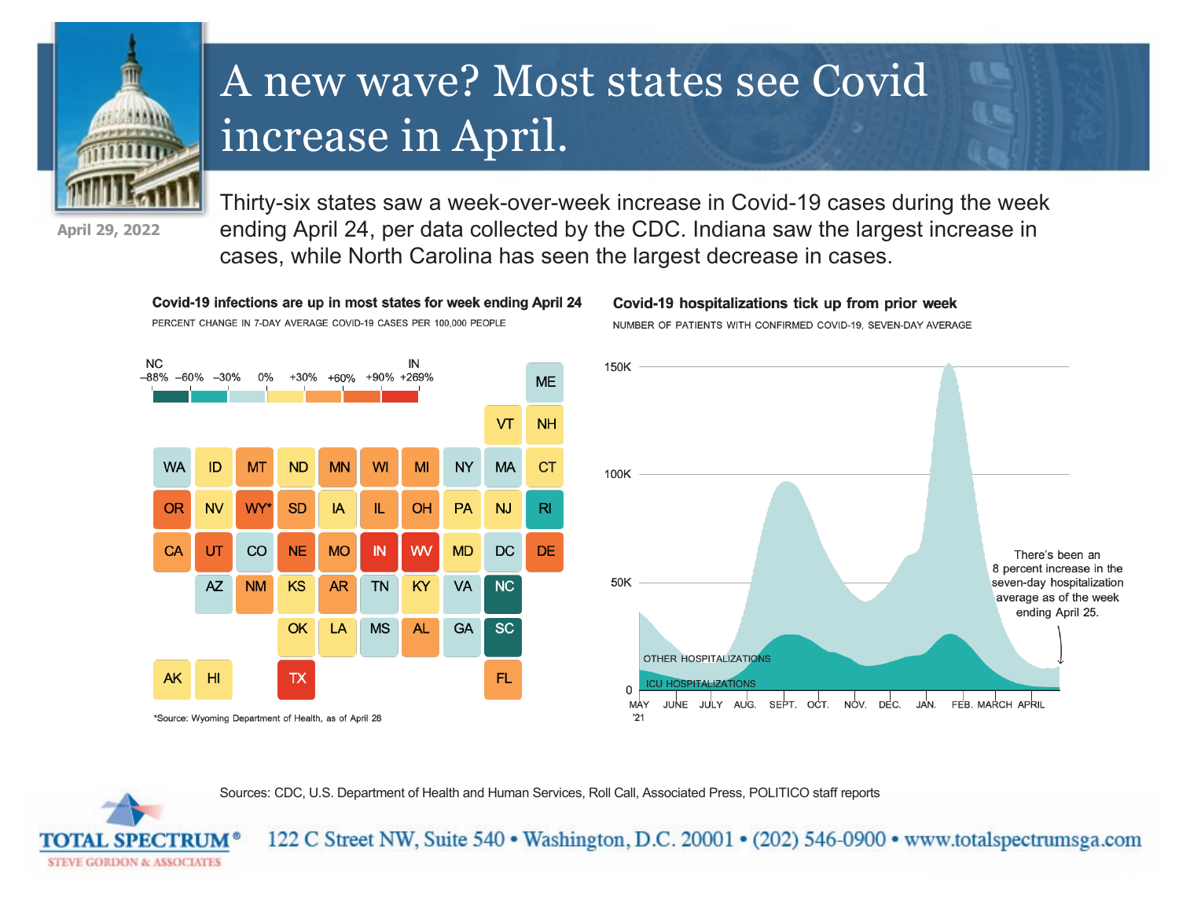

## A new wave? Most states see Covid increase in April.

**April 29, 2022**

Thirty-six states saw a week-over-week increase in Covid-19 cases during the week ending April 24, per data collected by the CDC. Indiana saw the largest increase in cases, while North Carolina has seen the largest decrease in cases.



Covid-19 infections are up in most states for week ending April 24

Covid-19 hospitalizations tick up from prior week

NUMBER OF PATIENTS WITH CONFIRMED COVID-19. SEVEN-DAY AVERAGE



Sources: CDC, U.S. Department of Health and Human Services, Roll Call, Associated Press, POLITICO staff reports



122 C Street NW, Suite 540 • Washington, D.C. 20001 • (202) 546-0900 • www.totalspectrumsga.com